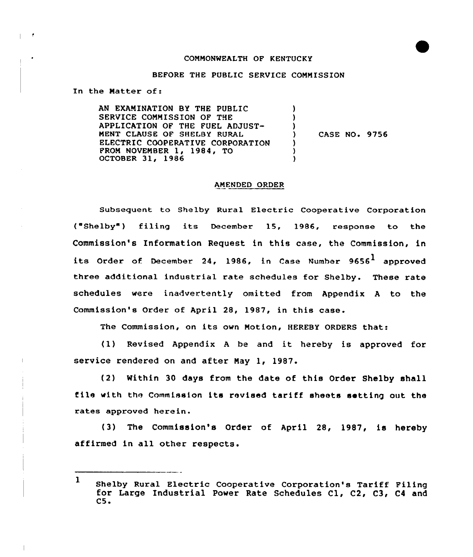#### CONNONWEALTH OF KENTUCKY

## BEFORE THE PUBLIC SERVICE COMMISSION

In the Matter of:

AN EXAMINATION BY THE PUBLIC SERVICE CONNISSION OF THE APPLICATION OF THE FUEL ADJUST-MENT CLAUSE OF SHELBY RURAL ELECTRIC COOPERATIVE CORPORATION FROM NOVEMBER 1, 1984, TO OCTOBER 31, 1986 ) ) ) ) CASE NO. 9756 ) ) )

#### ANENDED ORDER

Subsequent to Shelby Rural Electric Cooperative Corporation ("Shelby") filing its December 15, 1986, response to the Commission's Information Request in this case, the Commission, in its Order of December 24, 1986, in Case Number 9656<sup>1</sup> approved three additional industrial rate schedules for Shelby. These rate schedules were inadvertently omitted from Appendix <sup>A</sup> to the Commission's Order of April 28, 1987, in this case.

The Commission, on its own Motion, HEREBY ORDERS that:

(1) Revised Appendix <sup>A</sup> be and it hereby is approved for service rendered on and after May 1, 1987.

(2) Within 30 days from the date of this Order Shelby shall file with the Commission its revised tariff sheets setting out the rates approved herein.

(3) The Commission's Order of April 28, 1987, is hereby affirmed in all other respects.

 $\mathbf{1}$ Shelby Rural Electric Cooperative Corporation's Tariff Filing for Large Industrial Power Rate Schedules Cl, C2, C3, C4 and  $C5.$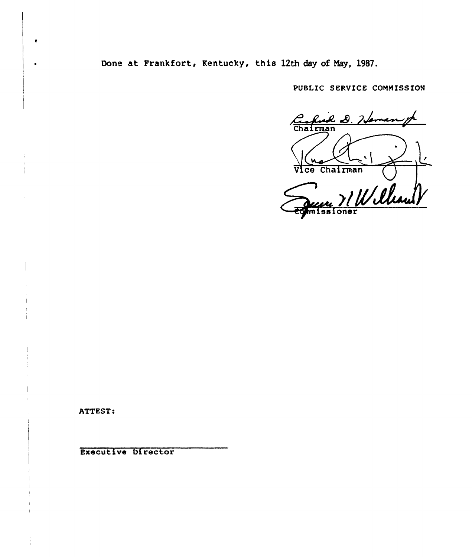Done at Frankfort, Kentucky, this 12th day of Nay, 1987.

PUBLIC SERVICE COMMISSION

Confuil 2.76 Chairman  $\overline{\mathbf{c}\mathbf{e}}$ France 71 William

ATTEST:

 $\bullet$ 

 $\bullet$ 

Executive Director